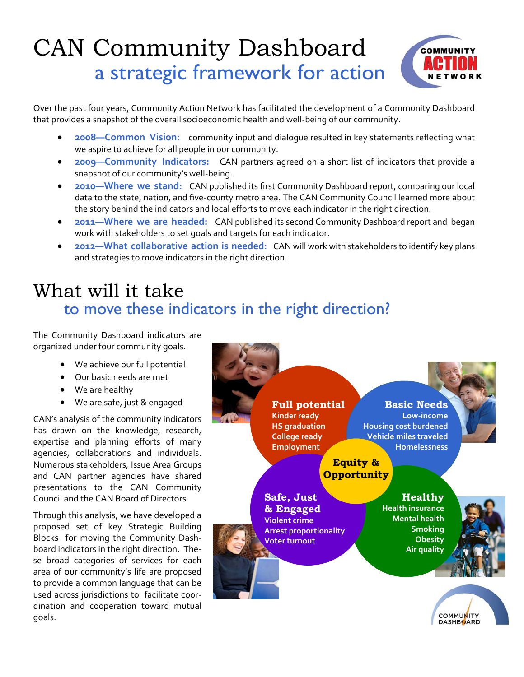## CAN Community Dashboard a strategic framework for action



Over the past four years, Community Action Network has facilitated the development of a Community Dashboard that provides a snapshot of the overall socioeconomic health and well‐being of our community.

- **2008—Common Vision:**  community input and dialogue resulted in key statements reflecting what we aspire to achieve for all people in our community.
- **2009—Community Indicators:**  CAN partners agreed on a short list of indicators that provide a snapshot of our community's well‐being.
- **2010—Where we stand:** CAN published its first Community Dashboard report, comparing our local data to the state, nation, and five‐county metro area. The CAN Community Council learned more about the story behind the indicators and local efforts to move each indicator in the right direction.
- **2011—Where we are headed:**  CAN published its second Community Dashboard report and began work with stakeholders to set goals and targets for each indicator.
- **2012—What collaborative action is needed:** CAN will work with stakeholders to identify key plans and strategies to move indicators in the right direction.

## to move these indicators in the right direction? What will it take

The Community Dashboard indicators are organized under four community goals.

- We achieve our full potential
- Our basic needs are met
- We are healthy
- We are safe, just & engaged

CAN's analysis of the community indicators has drawn on the knowledge, research, expertise and planning efforts of many agencies, collaborations and individuals. Numerous stakeholders, Issue Area Groups and CAN partner agencies have shared presentations to the CAN Community Council and the CAN Board of Directors.

Through this analysis, we have developed a proposed set of key Strategic Building Blocks for moving the Community Dash‐ board indicators in the right direction. The‐ se broad categories of services for each area of our community's life are proposed to provide a common language that can be used across jurisdictions to facilitate coor‐ dination and cooperation toward mutual goals.



COMMUNITY<br>DASHBOARD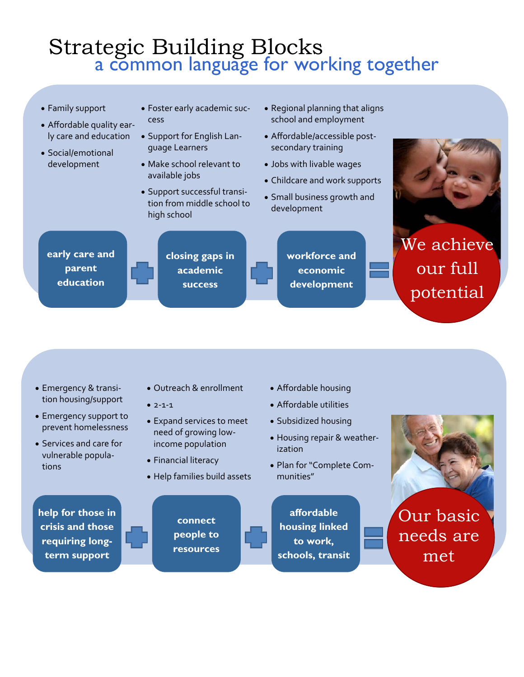## Strategic Building Blocks a common language for working together



- Emergency & transi‐ tion housing/support
- Emergency support to prevent homelessness
- Services and care for vulnerable popula‐ tions
- Outreach & enrollment
- $2 1 1$
- Expand services to meet need of growing low‐ income population
- Financial literacy
- Help families build assets
- Affordable housing
- Affordable utilities
- Subsidized housing
- Housing repair & weather‐ ization
- Plan for "Complete Com‐ munities"

**help for those in crisis and those requiring longterm support** 

**connect people to resources** 

**affordable housing linked to work, schools, transit** 



Our basic needs are met